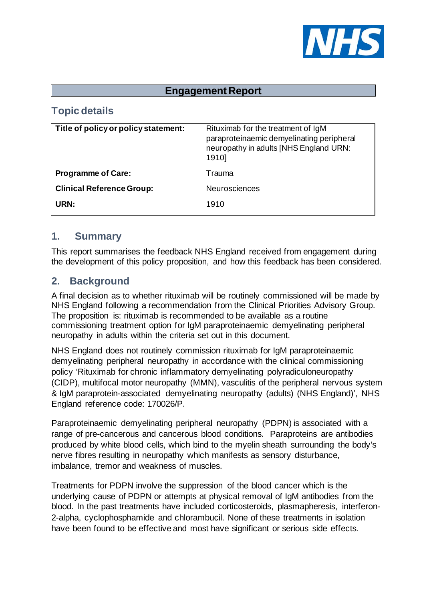

### **Engagement Report**

# **Topic details**

| Title of policy or policy statement: | Rituximab for the treatment of IgM<br>paraproteinaemic demyelinating peripheral<br>neuropathy in adults [NHS England URN:<br>1910] |
|--------------------------------------|------------------------------------------------------------------------------------------------------------------------------------|
| <b>Programme of Care:</b>            | Trauma                                                                                                                             |
| <b>Clinical Reference Group:</b>     | <b>Neurosciences</b>                                                                                                               |
| URN:                                 | 1910                                                                                                                               |

#### **1. Summary**

This report summarises the feedback NHS England received from engagement during the development of this policy proposition, and how this feedback has been considered.

### **2. Background**

A final decision as to whether rituximab will be routinely commissioned will be made by NHS England following a recommendation from the Clinical Priorities Advisory Group. The proposition is: rituximab is recommended to be available as a routine commissioning treatment option for IgM paraproteinaemic demyelinating peripheral neuropathy in adults within the criteria set out in this document.

NHS England does not routinely commission rituximab for IgM paraproteinaemic demyelinating peripheral neuropathy in accordance with the clinical commissioning policy 'Rituximab for chronic inflammatory demyelinating polyradiculoneuropathy (CIDP), multifocal motor neuropathy (MMN), vasculitis of the peripheral nervous system & IgM paraprotein-associated demyelinating neuropathy (adults) (NHS England)', NHS England reference code: 170026/P.

Paraproteinaemic demyelinating peripheral neuropathy (PDPN) is associated with a range of pre-cancerous and cancerous blood conditions. Paraproteins are antibodies produced by white blood cells, which bind to the myelin sheath surrounding the body's nerve fibres resulting in neuropathy which manifests as sensory disturbance, imbalance, tremor and weakness of muscles.

Treatments for PDPN involve the suppression of the blood cancer which is the underlying cause of PDPN or attempts at physical removal of IgM antibodies from the blood. In the past treatments have included corticosteroids, plasmapheresis, interferon-2-alpha, cyclophosphamide and chlorambucil. None of these treatments in isolation have been found to be effective and most have significant or serious side effects.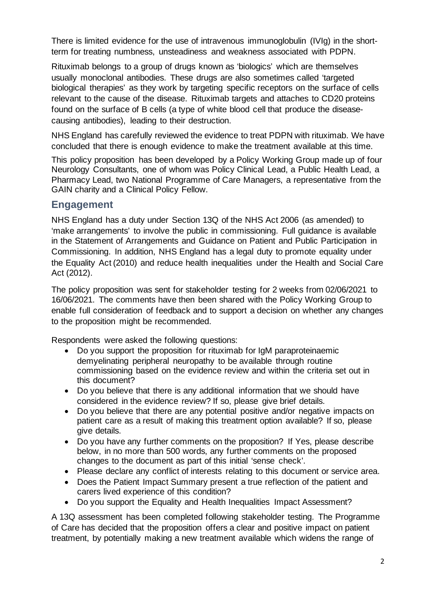There is limited evidence for the use of intravenous immunoglobulin (IVIg) in the shortterm for treating numbness, unsteadiness and weakness associated with PDPN.

Rituximab belongs to a group of drugs known as 'biologics' which are themselves usually monoclonal antibodies. These drugs are also sometimes called 'targeted biological therapies' as they work by targeting specific receptors on the surface of cells relevant to the cause of the disease. Rituximab targets and attaches to CD20 proteins found on the surface of B cells (a type of white blood cell that produce the diseasecausing antibodies), leading to their destruction.

NHS England has carefully reviewed the evidence to treat PDPN with rituximab. We have concluded that there is enough evidence to make the treatment available at this time.

This policy proposition has been developed by a Policy Working Group made up of four Neurology Consultants, one of whom was Policy Clinical Lead, a Public Health Lead, a Pharmacy Lead, two National Programme of Care Managers, a representative from the GAIN charity and a Clinical Policy Fellow.

### **Engagement**

NHS England has a duty under Section 13Q of the NHS Act 2006 (as amended) to 'make arrangements' to involve the public in commissioning. Full guidance is available in the Statement of Arrangements and Guidance on Patient and Public Participation in Commissioning. In addition, NHS England has a legal duty to promote equality under the Equality Act (2010) and reduce health inequalities under the Health and Social Care Act (2012).

The policy proposition was sent for stakeholder testing for 2 weeks from 02/06/2021 to 16/06/2021. The comments have then been shared with the Policy Working Group to enable full consideration of feedback and to support a decision on whether any changes to the proposition might be recommended.

Respondents were asked the following questions:

- Do you support the proposition for rituximab for IgM paraproteinaemic demyelinating peripheral neuropathy to be available through routine commissioning based on the evidence review and within the criteria set out in this document?
- Do you believe that there is any additional information that we should have considered in the evidence review? If so, please give brief details.
- Do you believe that there are any potential positive and/or negative impacts on patient care as a result of making this treatment option available? If so, please give details.
- Do you have any further comments on the proposition? If Yes, please describe below, in no more than 500 words, any further comments on the proposed changes to the document as part of this initial 'sense check'.
- Please declare any conflict of interests relating to this document or service area.
- Does the Patient Impact Summary present a true reflection of the patient and carers lived experience of this condition?
- Do you support the Equality and Health Inequalities Impact Assessment?

A 13Q assessment has been completed following stakeholder testing. The Programme of Care has decided that the proposition offers a clear and positive impact on patient treatment, by potentially making a new treatment available which widens the range of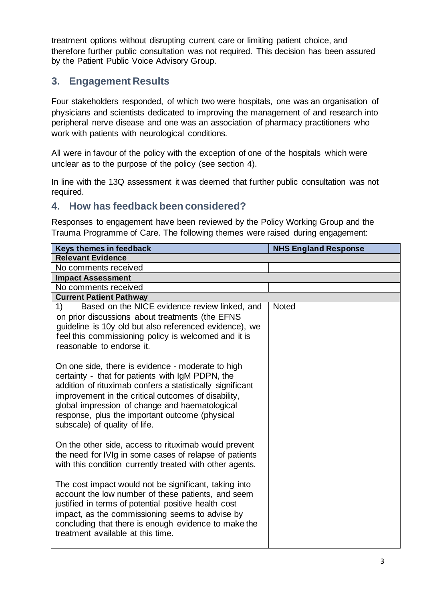treatment options without disrupting current care or limiting patient choice, and therefore further public consultation was not required. This decision has been assured by the Patient Public Voice Advisory Group.

# **3. Engagement Results**

Four stakeholders responded, of which two were hospitals, one was an organisation of physicians and scientists dedicated to improving the management of and research into peripheral nerve disease and one was an association of pharmacy practitioners who work with patients with neurological conditions.

All were in favour of the policy with the exception of one of the hospitals which were unclear as to the purpose of the policy (see section 4).

In line with the 13Q assessment it was deemed that further public consultation was not required.

## **4. How has feedback been considered?**

Responses to engagement have been reviewed by the Policy Working Group and the Trauma Programme of Care. The following themes were raised during engagement:

| Keys themes in feedback                                                                                                                                                                                                                                                                                                                                        | <b>NHS England Response</b> |  |  |  |
|----------------------------------------------------------------------------------------------------------------------------------------------------------------------------------------------------------------------------------------------------------------------------------------------------------------------------------------------------------------|-----------------------------|--|--|--|
| <b>Relevant Evidence</b>                                                                                                                                                                                                                                                                                                                                       |                             |  |  |  |
| No comments received                                                                                                                                                                                                                                                                                                                                           |                             |  |  |  |
| <b>Impact Assessment</b>                                                                                                                                                                                                                                                                                                                                       |                             |  |  |  |
| No comments received                                                                                                                                                                                                                                                                                                                                           |                             |  |  |  |
| <b>Current Patient Pathway</b>                                                                                                                                                                                                                                                                                                                                 |                             |  |  |  |
| Based on the NICE evidence review linked, and<br>1)<br>on prior discussions about treatments (the EFNS<br>guideline is 10y old but also referenced evidence), we<br>feel this commissioning policy is welcomed and it is<br>reasonable to endorse it.                                                                                                          | <b>Noted</b>                |  |  |  |
| On one side, there is evidence - moderate to high<br>certainty - that for patients with IgM PDPN, the<br>addition of rituximab confers a statistically significant<br>improvement in the critical outcomes of disability,<br>global impression of change and haematological<br>response, plus the important outcome (physical<br>subscale) of quality of life. |                             |  |  |  |
| On the other side, access to rituximab would prevent<br>the need for IVIg in some cases of relapse of patients<br>with this condition currently treated with other agents.                                                                                                                                                                                     |                             |  |  |  |
| The cost impact would not be significant, taking into<br>account the low number of these patients, and seem<br>justified in terms of potential positive health cost<br>impact, as the commissioning seems to advise by<br>concluding that there is enough evidence to make the<br>treatment available at this time.                                            |                             |  |  |  |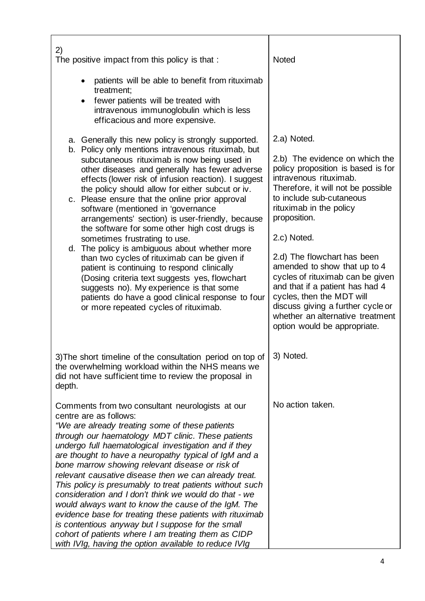| 2)<br>The positive impact from this policy is that :                                                                                                                                                                                                                                                                                                                                                                                                                                                                                                                                                                                                                                                                                                                                                                                                                                              | <b>Noted</b>                                                                                                                                                                                                                                                                                                                                                                                                                                                                                                          |
|---------------------------------------------------------------------------------------------------------------------------------------------------------------------------------------------------------------------------------------------------------------------------------------------------------------------------------------------------------------------------------------------------------------------------------------------------------------------------------------------------------------------------------------------------------------------------------------------------------------------------------------------------------------------------------------------------------------------------------------------------------------------------------------------------------------------------------------------------------------------------------------------------|-----------------------------------------------------------------------------------------------------------------------------------------------------------------------------------------------------------------------------------------------------------------------------------------------------------------------------------------------------------------------------------------------------------------------------------------------------------------------------------------------------------------------|
| patients will be able to benefit from rituximab<br>treatment;<br>fewer patients will be treated with<br>intravenous immunoglobulin which is less<br>efficacious and more expensive.                                                                                                                                                                                                                                                                                                                                                                                                                                                                                                                                                                                                                                                                                                               |                                                                                                                                                                                                                                                                                                                                                                                                                                                                                                                       |
| a. Generally this new policy is strongly supported.<br>b. Policy only mentions intravenous rituximab, but<br>subcutaneous rituximab is now being used in<br>other diseases and generally has fewer adverse<br>effects (lower risk of infusion reaction). I suggest<br>the policy should allow for either subcut or iv.<br>c. Please ensure that the online prior approval<br>software (mentioned in 'governance<br>arrangements' section) is user-friendly, because<br>the software for some other high cost drugs is<br>sometimes frustrating to use.<br>d. The policy is ambiguous about whether more<br>than two cycles of rituximab can be given if<br>patient is continuing to respond clinically<br>(Dosing criteria text suggests yes, flowchart<br>suggests no). My experience is that some<br>patients do have a good clinical response to four<br>or more repeated cycles of rituximab. | 2.a) Noted.<br>2.b) The evidence on which the<br>policy proposition is based is for<br>intravenous rituximab.<br>Therefore, it will not be possible<br>to include sub-cutaneous<br>rituximab in the policy<br>proposition.<br>2.c) Noted.<br>2.d) The flowchart has been<br>amended to show that up to 4<br>cycles of rituximab can be given<br>and that if a patient has had 4<br>cycles, then the MDT will<br>discuss giving a further cycle or<br>whether an alternative treatment<br>option would be appropriate. |
| 3) The short timeline of the consultation period on top of<br>the overwhelming workload within the NHS means we<br>did not have sufficient time to review the proposal in<br>depth.                                                                                                                                                                                                                                                                                                                                                                                                                                                                                                                                                                                                                                                                                                               | 3) Noted.                                                                                                                                                                                                                                                                                                                                                                                                                                                                                                             |
| Comments from two consultant neurologists at our<br>centre are as follows:<br>"We are already treating some of these patients<br>through our haematology MDT clinic. These patients<br>undergo full haematological investigation and if they<br>are thought to have a neuropathy typical of IgM and a<br>bone marrow showing relevant disease or risk of<br>relevant causative disease then we can already treat.<br>This policy is presumably to treat patients without such<br>consideration and I don't think we would do that - we<br>would always want to know the cause of the IgM. The<br>evidence base for treating these patients with rituximab<br>is contentious anyway but I suppose for the small<br>cohort of patients where I am treating them as CIDP<br>with IVIg, having the option available to reduce IVIg                                                                    | No action taken.                                                                                                                                                                                                                                                                                                                                                                                                                                                                                                      |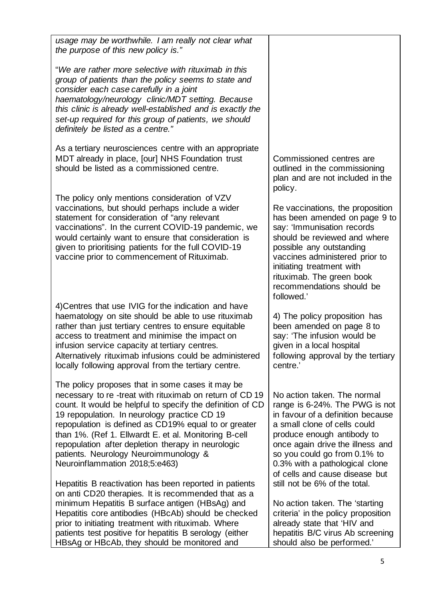| usage may be worthwhile. I am really not clear what<br>the purpose of this new policy is."                                                                                                                                                                                                                                                                                                                                                                                  |                                                                                                                                                                                                                                                                                                          |
|-----------------------------------------------------------------------------------------------------------------------------------------------------------------------------------------------------------------------------------------------------------------------------------------------------------------------------------------------------------------------------------------------------------------------------------------------------------------------------|----------------------------------------------------------------------------------------------------------------------------------------------------------------------------------------------------------------------------------------------------------------------------------------------------------|
| "We are rather more selective with rituximab in this<br>group of patients than the policy seems to state and<br>consider each case carefully in a joint<br>haematology/neurology clinic/MDT setting. Because<br>this clinic is already well-established and is exactly the<br>set-up required for this group of patients, we should<br>definitely be listed as a centre."                                                                                                   |                                                                                                                                                                                                                                                                                                          |
| As a tertiary neurosciences centre with an appropriate<br>MDT already in place, [our] NHS Foundation trust<br>should be listed as a commissioned centre.                                                                                                                                                                                                                                                                                                                    | Commissioned centres are<br>outlined in the commissioning<br>plan and are not included in the<br>policy.                                                                                                                                                                                                 |
| The policy only mentions consideration of VZV<br>vaccinations, but should perhaps include a wider<br>statement for consideration of "any relevant<br>vaccinations". In the current COVID-19 pandemic, we<br>would certainly want to ensure that consideration is<br>given to prioritising patients for the full COVID-19<br>vaccine prior to commencement of Rituximab.                                                                                                     | Re vaccinations, the proposition<br>has been amended on page 9 to<br>say: 'Immunisation records<br>should be reviewed and where<br>possible any outstanding<br>vaccines administered prior to<br>initiating treatment with<br>rituximab. The green book<br>recommendations should be<br>followed.'       |
| 4) Centres that use IVIG for the indication and have<br>haematology on site should be able to use rituximab<br>rather than just tertiary centres to ensure equitable<br>access to treatment and minimise the impact on<br>infusion service capacity at tertiary centres.<br>Alternatively rituximab infusions could be administered<br>locally following approval from the tertiary centre.                                                                                 | 4) The policy proposition has<br>been amended on page 8 to<br>say: 'The infusion would be<br>given in a local hospital<br>following approval by the tertiary<br>centre.'                                                                                                                                 |
| The policy proposes that in some cases it may be<br>necessary to re-treat with rituximab on return of CD 19<br>count. It would be helpful to specify the definition of CD<br>19 repopulation. In neurology practice CD 19<br>repopulation is defined as CD19% equal to or greater<br>than 1%. (Ref 1. Ellwardt E. et al. Monitoring B-cell<br>repopulation after depletion therapy in neurologic<br>patients. Neurology Neuroimmunology &<br>Neuroinflammation 2018;5:e463) | No action taken. The normal<br>range is 6-24%. The PWG is not<br>in favour of a definition because<br>a small clone of cells could<br>produce enough antibody to<br>once again drive the illness and<br>so you could go from 0.1% to<br>0.3% with a pathological clone<br>of cells and cause disease but |
| Hepatitis B reactivation has been reported in patients<br>on anti CD20 therapies. It is recommended that as a<br>minimum Hepatitis B surface antigen (HBsAg) and<br>Hepatitis core antibodies (HBcAb) should be checked<br>prior to initiating treatment with rituximab. Where<br>patients test positive for hepatitis B serology (either<br>HBsAg or HBcAb, they should be monitored and                                                                                   | still not be 6% of the total.<br>No action taken. The 'starting<br>criteria' in the policy proposition<br>already state that 'HIV and<br>hepatitis B/C virus Ab screening<br>should also be performed.'                                                                                                  |